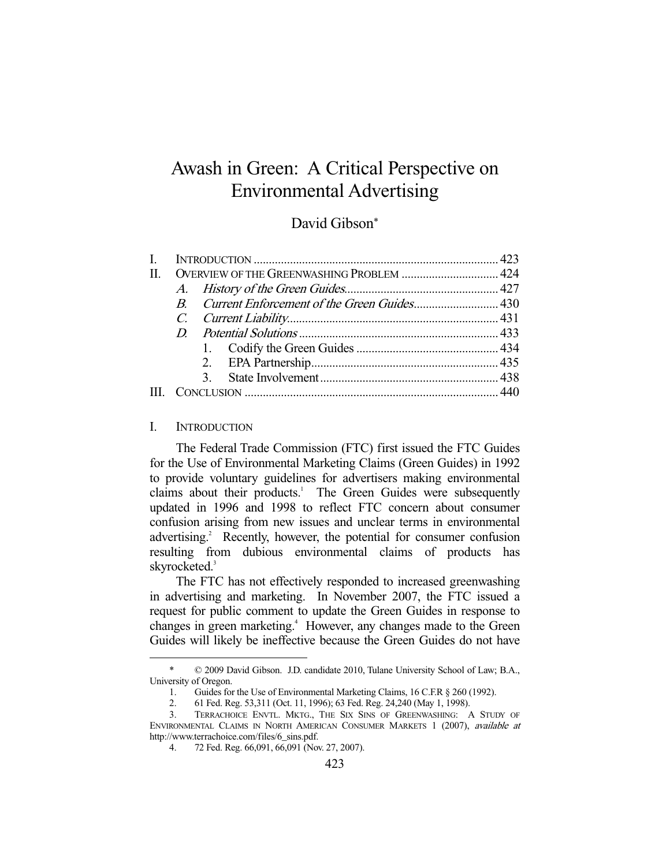# Awash in Green: A Critical Perspective on Environmental Advertising

# David Gibson\*

| $\mathbf{I}$ |                                           |  |  |  |
|--------------|-------------------------------------------|--|--|--|
| $\Pi$        | OVERVIEW OF THE GREENWASHING PROBLEM  424 |  |  |  |
|              |                                           |  |  |  |
|              |                                           |  |  |  |
|              |                                           |  |  |  |
|              |                                           |  |  |  |
|              |                                           |  |  |  |
|              |                                           |  |  |  |
|              |                                           |  |  |  |
|              |                                           |  |  |  |
|              |                                           |  |  |  |

#### I. INTRODUCTION

-

 The Federal Trade Commission (FTC) first issued the FTC Guides for the Use of Environmental Marketing Claims (Green Guides) in 1992 to provide voluntary guidelines for advertisers making environmental claims about their products.<sup>1</sup> The Green Guides were subsequently updated in 1996 and 1998 to reflect FTC concern about consumer confusion arising from new issues and unclear terms in environmental advertising.<sup>2</sup> Recently, however, the potential for consumer confusion resulting from dubious environmental claims of products has skyrocketed.<sup>3</sup>

 The FTC has not effectively responded to increased greenwashing in advertising and marketing. In November 2007, the FTC issued a request for public comment to update the Green Guides in response to changes in green marketing.<sup>4</sup> However, any changes made to the Green Guides will likely be ineffective because the Green Guides do not have

 $© 2009$  David Gibson. J.D. candidate 2010, Tulane University School of Law; B.A., University of Oregon.

 <sup>1.</sup> Guides for the Use of Environmental Marketing Claims, 16 C.F.R § 260 (1992).

<sup>2. 61</sup> Fed. Reg. 53,311 (Oct. 11, 1996); 63 Fed. Reg. 24,240 (May 1, 1998).<br>3. TERRACHOICE ENVTL. MKTG.. THE SIX SINS OF GREENWASHING:

 <sup>3.</sup> TERRACHOICE ENVTL. MKTG., THE SIX SINS OF GREENWASHING: A STUDY OF ENVIRONMENTAL CLAIMS IN NORTH AMERICAN CONSUMER MARKETS 1 (2007), available at http://www.terrachoice.com/files/6\_sins.pdf.

 <sup>4. 72</sup> Fed. Reg. 66,091, 66,091 (Nov. 27, 2007).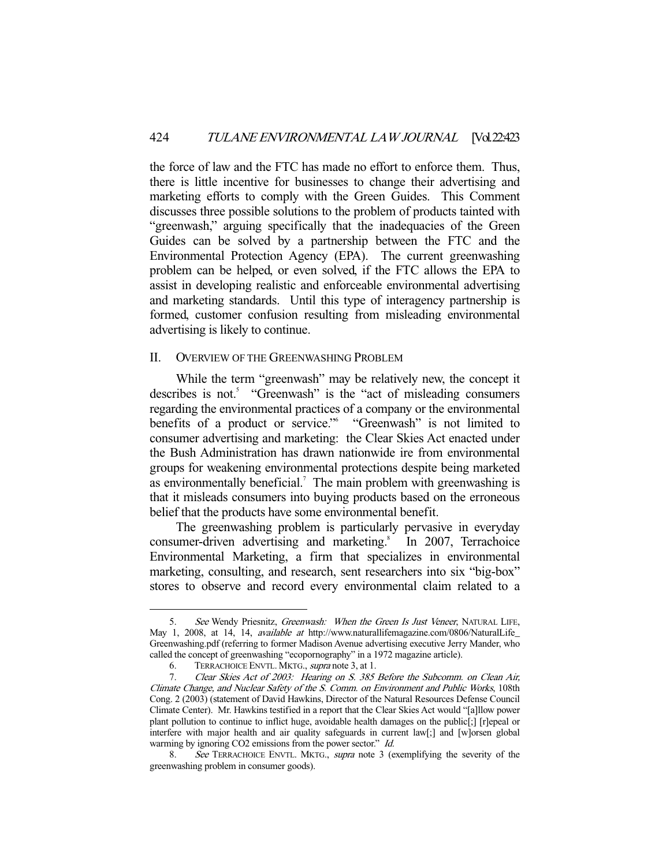the force of law and the FTC has made no effort to enforce them. Thus, there is little incentive for businesses to change their advertising and marketing efforts to comply with the Green Guides. This Comment discusses three possible solutions to the problem of products tainted with "greenwash," arguing specifically that the inadequacies of the Green Guides can be solved by a partnership between the FTC and the Environmental Protection Agency (EPA). The current greenwashing problem can be helped, or even solved, if the FTC allows the EPA to assist in developing realistic and enforceable environmental advertising and marketing standards. Until this type of interagency partnership is formed, customer confusion resulting from misleading environmental advertising is likely to continue.

#### II. OVERVIEW OF THE GREENWASHING PROBLEM

 While the term "greenwash" may be relatively new, the concept it describes is not.<sup>5</sup> "Greenwash" is the "act of misleading consumers regarding the environmental practices of a company or the environmental benefits of a product or service." "Greenwash" is not limited to consumer advertising and marketing: the Clear Skies Act enacted under the Bush Administration has drawn nationwide ire from environmental groups for weakening environmental protections despite being marketed as environmentally beneficial.<sup>7</sup> The main problem with greenwashing is that it misleads consumers into buying products based on the erroneous belief that the products have some environmental benefit.

 The greenwashing problem is particularly pervasive in everyday consumer-driven advertising and marketing.<sup>8</sup> In 2007, Terrachoice Environmental Marketing, a firm that specializes in environmental marketing, consulting, and research, sent researchers into six "big-box" stores to observe and record every environmental claim related to a

See Wendy Priesnitz, Greenwash: When the Green Is Just Veneer, NATURAL LIFE, May 1, 2008, at 14, 14, *available at* http://www.naturallifemagazine.com/0806/NaturalLife Greenwashing.pdf (referring to former Madison Avenue advertising executive Jerry Mander, who called the concept of greenwashing "ecopornography" in a 1972 magazine article).

<sup>6.</sup> TERRACHOICE ENVTL. MKTG., *supra* note 3, at 1.<br>7. Clear Skies Act of 2003: Hearing on S. 385

Clear Skies Act of 2003: Hearing on S. 385 Before the Subcomm. on Clean Air, Climate Change, and Nuclear Safety of the S. Comm. on Environment and Public Works, 108th Cong. 2 (2003) (statement of David Hawkins, Director of the Natural Resources Defense Council Climate Center). Mr. Hawkins testified in a report that the Clear Skies Act would "[a]llow power plant pollution to continue to inflict huge, avoidable health damages on the public[;] [r]epeal or interfere with major health and air quality safeguards in current law[;] and [w]orsen global warming by ignoring CO2 emissions from the power sector." *Id.* 

<sup>8.</sup> See TERRACHOICE ENVTL. MKTG., supra note 3 (exemplifying the severity of the greenwashing problem in consumer goods).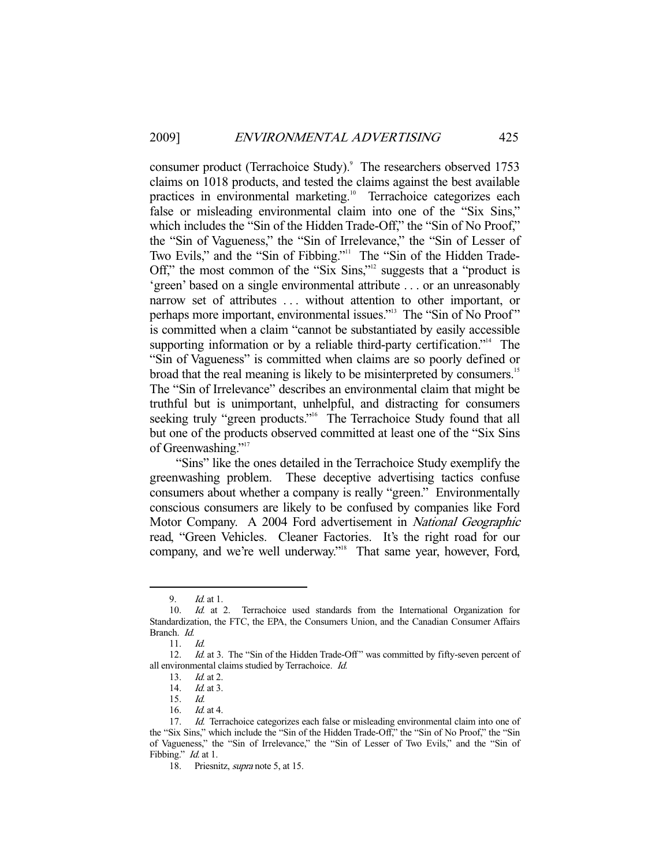consumer product (Terrachoice Study).<sup>9</sup> The researchers observed 1753 claims on 1018 products, and tested the claims against the best available practices in environmental marketing.<sup>10</sup> Terrachoice categorizes each false or misleading environmental claim into one of the "Six Sins," which includes the "Sin of the Hidden Trade-Off," the "Sin of No Proof," the "Sin of Vagueness," the "Sin of Irrelevance," the "Sin of Lesser of Two Evils," and the "Sin of Fibbing."<sup>11</sup> The "Sin of the Hidden Trade-Off," the most common of the "Six Sins,"<sup>12</sup> suggests that a "product is 'green' based on a single environmental attribute . . . or an unreasonably narrow set of attributes ... without attention to other important, or perhaps more important, environmental issues."<sup>13</sup> The "Sin of No Proof" is committed when a claim "cannot be substantiated by easily accessible supporting information or by a reliable third-party certification."<sup>14</sup> The "Sin of Vagueness" is committed when claims are so poorly defined or broad that the real meaning is likely to be misinterpreted by consumers.<sup>15</sup> The "Sin of Irrelevance" describes an environmental claim that might be truthful but is unimportant, unhelpful, and distracting for consumers seeking truly "green products."<sup>16</sup> The Terrachoice Study found that all but one of the products observed committed at least one of the "Six Sins of Greenwashing."<sup>17</sup>

 "Sins" like the ones detailed in the Terrachoice Study exemplify the greenwashing problem. These deceptive advertising tactics confuse consumers about whether a company is really "green." Environmentally conscious consumers are likely to be confused by companies like Ford Motor Company. A 2004 Ford advertisement in National Geographic read, "Green Vehicles. Cleaner Factories. It's the right road for our company, and we're well underway."<sup>18</sup> That same year, however, Ford,

 <sup>9.</sup> Id. at 1.

 <sup>10.</sup> Id. at 2. Terrachoice used standards from the International Organization for Standardization, the FTC, the EPA, the Consumers Union, and the Canadian Consumer Affairs Branch. Id.

 <sup>11.</sup> Id.

<sup>12.</sup> *Id.* at 3. The "Sin of the Hidden Trade-Off" was committed by fifty-seven percent of all environmental claims studied by Terrachoice. Id.

<sup>13.</sup> *Id.* at 2.<br>14. *Id.* at 3.

 $1d$  at 3.

 <sup>15.</sup> Id.

 <sup>16.</sup> Id. at 4.

<sup>17.</sup> *Id.* Terrachoice categorizes each false or misleading environmental claim into one of the "Six Sins," which include the "Sin of the Hidden Trade-Off," the "Sin of No Proof," the "Sin of Vagueness," the "Sin of Irrelevance," the "Sin of Lesser of Two Evils," and the "Sin of Fibbing." *Id.* at 1.

<sup>18.</sup> Priesnitz, *supra* note 5, at 15.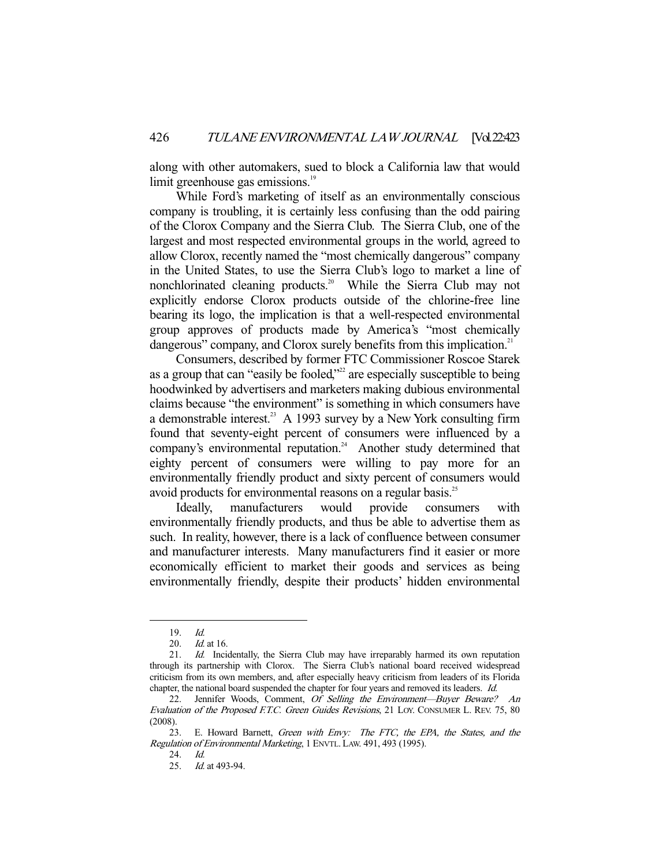along with other automakers, sued to block a California law that would limit greenhouse gas emissions.<sup>19</sup>

 While Ford's marketing of itself as an environmentally conscious company is troubling, it is certainly less confusing than the odd pairing of the Clorox Company and the Sierra Club. The Sierra Club, one of the largest and most respected environmental groups in the world, agreed to allow Clorox, recently named the "most chemically dangerous" company in the United States, to use the Sierra Club's logo to market a line of nonchlorinated cleaning products.<sup>20</sup> While the Sierra Club may not explicitly endorse Clorox products outside of the chlorine-free line bearing its logo, the implication is that a well-respected environmental group approves of products made by America's "most chemically dangerous" company, and Clorox surely benefits from this implication.<sup>21</sup>

 Consumers, described by former FTC Commissioner Roscoe Starek as a group that can "easily be fooled,"<sup>22</sup> are especially susceptible to being hoodwinked by advertisers and marketers making dubious environmental claims because "the environment" is something in which consumers have a demonstrable interest.<sup>23</sup> A 1993 survey by a New York consulting firm found that seventy-eight percent of consumers were influenced by a company's environmental reputation.<sup>24</sup> Another study determined that eighty percent of consumers were willing to pay more for an environmentally friendly product and sixty percent of consumers would avoid products for environmental reasons on a regular basis.<sup>25</sup>

 Ideally, manufacturers would provide consumers with environmentally friendly products, and thus be able to advertise them as such. In reality, however, there is a lack of confluence between consumer and manufacturer interests. Many manufacturers find it easier or more economically efficient to market their goods and services as being environmentally friendly, despite their products' hidden environmental

 <sup>19.</sup> Id.

 <sup>20.</sup> Id. at 16.

<sup>21.</sup> Id. Incidentally, the Sierra Club may have irreparably harmed its own reputation through its partnership with Clorox. The Sierra Club's national board received widespread criticism from its own members, and, after especially heavy criticism from leaders of its Florida chapter, the national board suspended the chapter for four years and removed its leaders. Id.

<sup>22.</sup> Jennifer Woods, Comment, Of Selling the Environment-Buyer Beware? An Evaluation of the Proposed F.T.C. Green Guides Revisions, 21 LOY. CONSUMER L. REV. 75, 80 (2008).

 <sup>23.</sup> E. Howard Barnett, Green with Envy: The FTC, the EPA, the States, and the Regulation of Environmental Marketing, 1 ENVTL. LAW. 491, 493 (1995).

 <sup>24.</sup> Id.

 <sup>25.</sup> Id. at 493-94.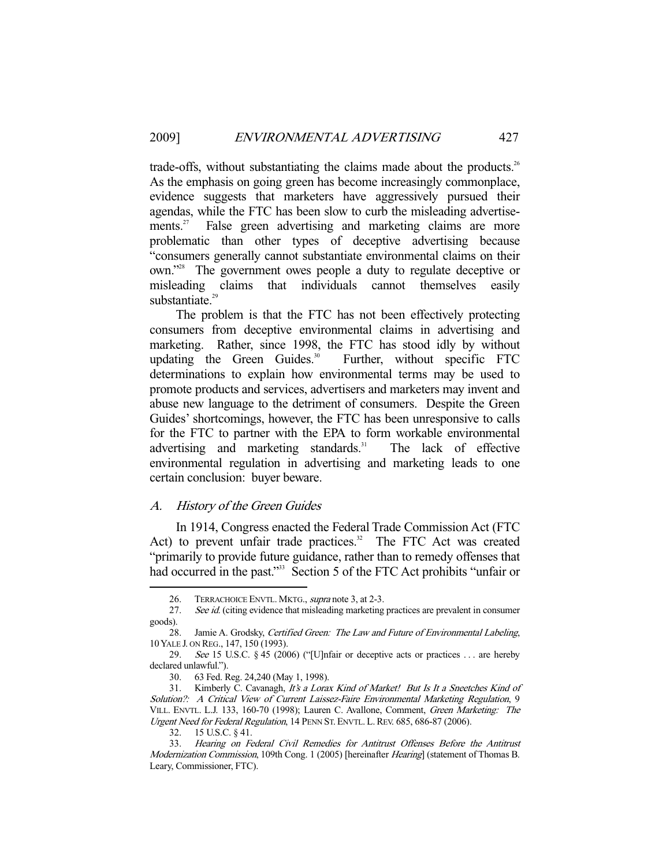trade-offs, without substantiating the claims made about the products.<sup>26</sup> As the emphasis on going green has become increasingly commonplace, evidence suggests that marketers have aggressively pursued their agendas, while the FTC has been slow to curb the misleading advertisements.<sup>27</sup> False green advertising and marketing claims are more problematic than other types of deceptive advertising because "consumers generally cannot substantiate environmental claims on their own."28 The government owes people a duty to regulate deceptive or misleading claims that individuals cannot themselves easily substantiate.<sup>29</sup>

 The problem is that the FTC has not been effectively protecting consumers from deceptive environmental claims in advertising and marketing. Rather, since 1998, the FTC has stood idly by without updating the Green Guides.<sup>30</sup> Further, without specific FTC determinations to explain how environmental terms may be used to promote products and services, advertisers and marketers may invent and abuse new language to the detriment of consumers. Despite the Green Guides' shortcomings, however, the FTC has been unresponsive to calls for the FTC to partner with the EPA to form workable environmental advertising and marketing standards.<sup>31</sup> The lack of effective environmental regulation in advertising and marketing leads to one certain conclusion: buyer beware.

#### A. History of the Green Guides

 In 1914, Congress enacted the Federal Trade Commission Act (FTC Act) to prevent unfair trade practices.<sup>32</sup> The FTC Act was created "primarily to provide future guidance, rather than to remedy offenses that had occurred in the past."<sup>33</sup> Section 5 of the FTC Act prohibits "unfair or

<sup>26.</sup> TERRACHOICE ENVTL. MKTG., *supra* note 3, at 2-3.

<sup>27.</sup> See id. (citing evidence that misleading marketing practices are prevalent in consumer goods).

<sup>28.</sup> Jamie A. Grodsky, Certified Green: The Law and Future of Environmental Labeling, 10 YALE J. ON REG., 147, 150 (1993).

 <sup>29.</sup> See 15 U.S.C. § 45 (2006) ("[U]nfair or deceptive acts or practices . . . are hereby declared unlawful.").

 <sup>30. 63</sup> Fed. Reg. 24,240 (May 1, 1998).

<sup>31.</sup> Kimberly C. Cavanagh, It's a Lorax Kind of Market! But Is It a Sneetches Kind of Solution?: A Critical View of Current Laissez-Faire Environmental Marketing Regulation, 9 VILL. ENVTL. L.J. 133, 160-70 (1998); Lauren C. Avallone, Comment, Green Marketing: The Urgent Need for Federal Regulation, 14 PENN ST. ENVTL. L.REV. 685, 686-87 (2006).

 <sup>32. 15</sup> U.S.C. § 41.

 <sup>33.</sup> Hearing on Federal Civil Remedies for Antitrust Offenses Before the Antitrust Modernization Commission, 109th Cong. 1 (2005) [hereinafter Hearing] (statement of Thomas B. Leary, Commissioner, FTC).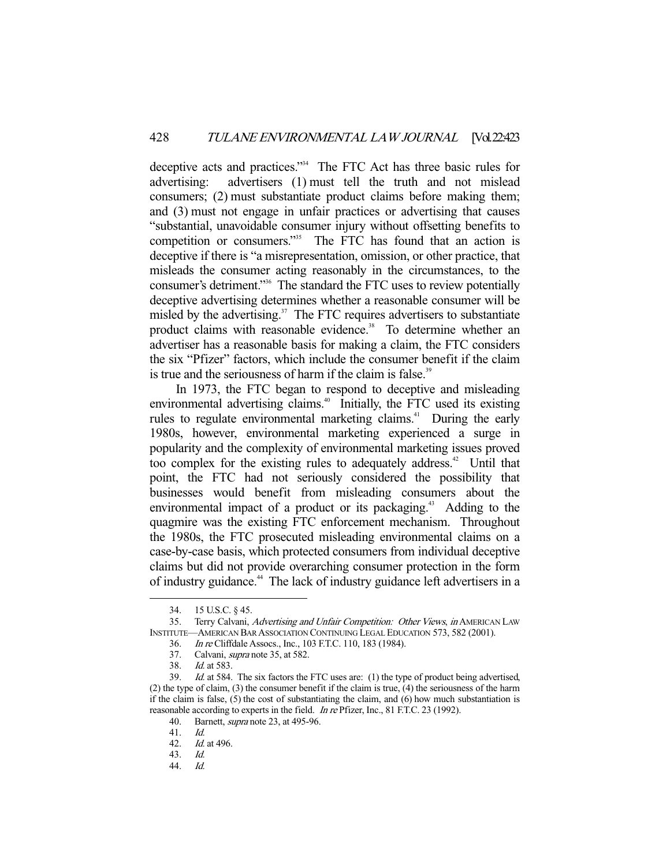deceptive acts and practices."34 The FTC Act has three basic rules for advertising: advertisers (1) must tell the truth and not mislead consumers; (2) must substantiate product claims before making them; and (3) must not engage in unfair practices or advertising that causes "substantial, unavoidable consumer injury without offsetting benefits to competition or consumers."<sup>35</sup> The FTC has found that an action is deceptive if there is "a misrepresentation, omission, or other practice, that misleads the consumer acting reasonably in the circumstances, to the consumer's detriment."36 The standard the FTC uses to review potentially deceptive advertising determines whether a reasonable consumer will be misled by the advertising. $37$  The FTC requires advertisers to substantiate product claims with reasonable evidence.<sup>38</sup> To determine whether an advertiser has a reasonable basis for making a claim, the FTC considers the six "Pfizer" factors, which include the consumer benefit if the claim is true and the seriousness of harm if the claim is false.<sup>39</sup>

 In 1973, the FTC began to respond to deceptive and misleading environmental advertising claims.<sup>40</sup> Initially, the FTC used its existing rules to regulate environmental marketing claims.<sup>41</sup> During the early 1980s, however, environmental marketing experienced a surge in popularity and the complexity of environmental marketing issues proved too complex for the existing rules to adequately address.<sup>42</sup> Until that point, the FTC had not seriously considered the possibility that businesses would benefit from misleading consumers about the environmental impact of a product or its packaging.<sup>43</sup> Adding to the quagmire was the existing FTC enforcement mechanism. Throughout the 1980s, the FTC prosecuted misleading environmental claims on a case-by-case basis, which protected consumers from individual deceptive claims but did not provide overarching consumer protection in the form of industry guidance.44 The lack of industry guidance left advertisers in a

 <sup>34. 15</sup> U.S.C. § 45.

<sup>35.</sup> Terry Calvani, Advertising and Unfair Competition: Other Views, in AMERICAN LAW INSTITUTE—AMERICAN BAR ASSOCIATION CONTINUING LEGAL EDUCATION 573, 582 (2001).

 <sup>36.</sup> In re Cliffdale Assocs., Inc., 103 F.T.C. 110, 183 (1984).

 <sup>37.</sup> Calvani, supra note 35, at 582.

<sup>38.</sup> *Id.* at 583.<br>39. *Id.* at 584.

Id. at 584. The six factors the FTC uses are: (1) the type of product being advertised, (2) the type of claim, (3) the consumer benefit if the claim is true, (4) the seriousness of the harm if the claim is false, (5) the cost of substantiating the claim, and (6) how much substantiation is reasonable according to experts in the field. *In re* Pfizer, Inc., 81 F.T.C. 23 (1992).

<sup>40.</sup> Barnett, *supra* note 23, at 495-96.

 <sup>41.</sup> Id.

<sup>42.</sup> *Id.* at 496.<br>43. *Id.* 

 <sup>43.</sup> Id.

 <sup>44.</sup> Id.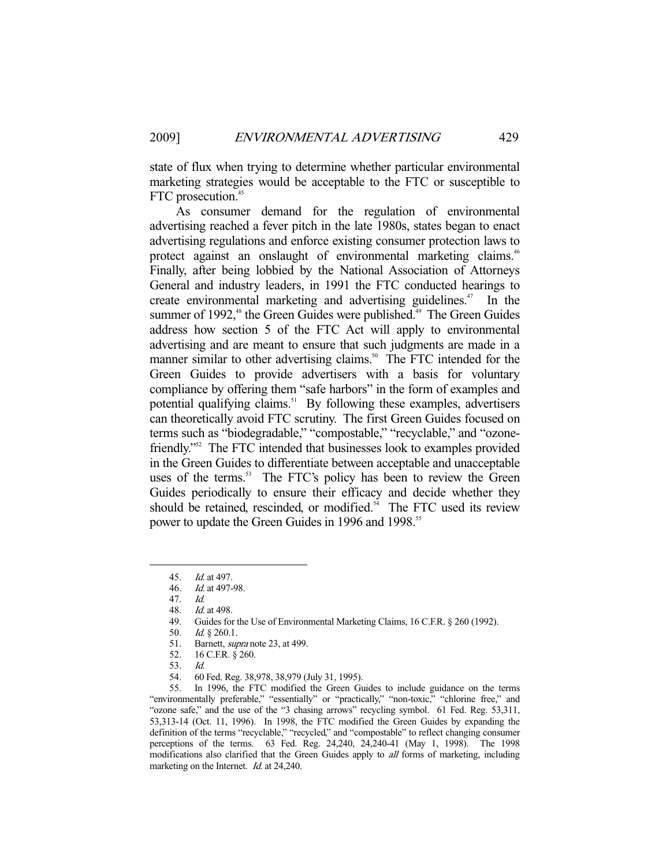state of flux when trying to determine whether particular environmental marketing strategies would be acceptable to the FTC or susceptible to FTC prosecution.<sup>45</sup>

 As consumer demand for the regulation of environmental advertising reached a fever pitch in the late 1980s, states began to enact advertising regulations and enforce existing consumer protection laws to protect against an onslaught of environmental marketing claims.<sup>46</sup> Finally, after being lobbied by the National Association of Attorneys General and industry leaders, in 1991 the FTC conducted hearings to create environmental marketing and advertising guidelines. $47$  In the summer of  $1992$ ,<sup>48</sup> the Green Guides were published.<sup>49</sup> The Green Guides address how section 5 of the FTC Act will apply to environmental advertising and are meant to ensure that such judgments are made in a manner similar to other advertising claims.<sup>50</sup> The FTC intended for the Green Guides to provide advertisers with a basis for voluntary compliance by offering them "safe harbors" in the form of examples and potential qualifying claims.<sup>51</sup> By following these examples, advertisers can theoretically avoid FTC scrutiny. The first Green Guides focused on terms such as "biodegradable," "compostable," "recyclable," and "ozonefriendly."52 The FTC intended that businesses look to examples provided in the Green Guides to differentiate between acceptable and unacceptable uses of the terms.<sup>53</sup> The FTC's policy has been to review the Green Guides periodically to ensure their efficacy and decide whether they should be retained, rescinded, or modified.<sup>54</sup> The FTC used its review power to update the Green Guides in 1996 and 1998.<sup>55</sup>

 <sup>45.</sup> Id. at 497.

 <sup>46.</sup> Id. at 497-98.

 <sup>47.</sup> Id.

 <sup>48.</sup> Id. at 498.

 <sup>49.</sup> Guides for the Use of Environmental Marketing Claims, 16 C.F.R. § 260 (1992).

 <sup>50.</sup> Id. § 260.1.

<sup>51.</sup> Barnett, *supra* note 23, at 499.

 <sup>52. 16</sup> C.F.R. § 260.

<sup>53.</sup> *Id.*<br>54. 60

 <sup>54. 60</sup> Fed. Reg. 38,978, 38,979 (July 31, 1995).

 <sup>55.</sup> In 1996, the FTC modified the Green Guides to include guidance on the terms "environmentally preferable," "essentially" or "practically," "non-toxic," "chlorine free," and "ozone safe," and the use of the "3 chasing arrows" recycling symbol. 61 Fed. Reg. 53,311, 53,313-14 (Oct. 11, 1996). In 1998, the FTC modified the Green Guides by expanding the definition of the terms "recyclable," "recycled," and "compostable" to reflect changing consumer perceptions of the terms. 63 Fed. Reg. 24,240, 24,240-41 (May 1, 1998). The 1998 modifications also clarified that the Green Guides apply to all forms of marketing, including marketing on the Internet. *Id.* at 24,240.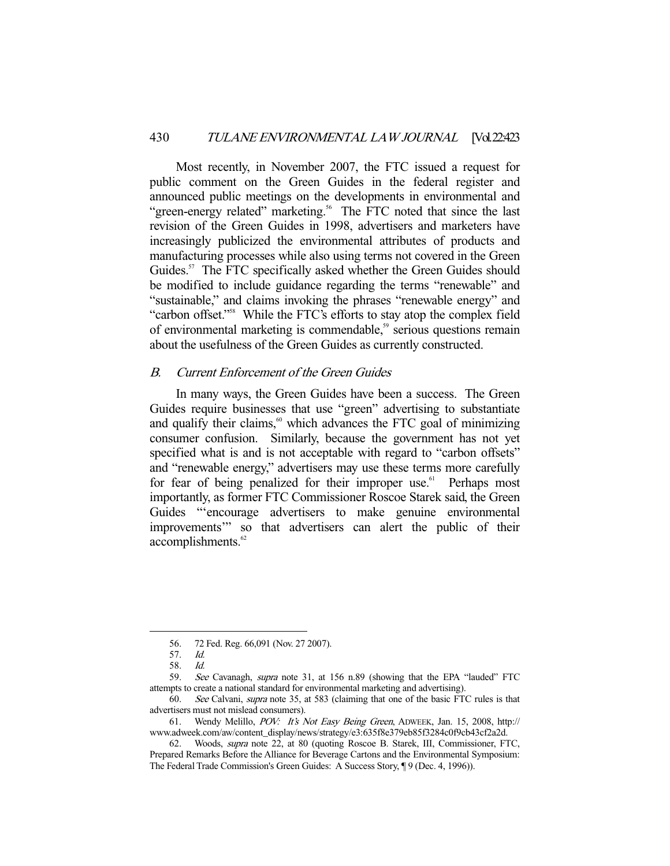Most recently, in November 2007, the FTC issued a request for public comment on the Green Guides in the federal register and announced public meetings on the developments in environmental and "green-energy related" marketing.<sup>56</sup> The FTC noted that since the last revision of the Green Guides in 1998, advertisers and marketers have increasingly publicized the environmental attributes of products and manufacturing processes while also using terms not covered in the Green Guides.<sup>57</sup> The FTC specifically asked whether the Green Guides should be modified to include guidance regarding the terms "renewable" and "sustainable," and claims invoking the phrases "renewable energy" and "carbon offset."58 While the FTC's efforts to stay atop the complex field of environmental marketing is commendable,<sup>59</sup> serious questions remain about the usefulness of the Green Guides as currently constructed.

# B. Current Enforcement of the Green Guides

 In many ways, the Green Guides have been a success. The Green Guides require businesses that use "green" advertising to substantiate and qualify their claims, $\omega$ <sup>60</sup> which advances the FTC goal of minimizing consumer confusion. Similarly, because the government has not yet specified what is and is not acceptable with regard to "carbon offsets" and "renewable energy," advertisers may use these terms more carefully for fear of being penalized for their improper use.<sup>61</sup> Perhaps most importantly, as former FTC Commissioner Roscoe Starek said, the Green Guides "'encourage advertisers to make genuine environmental improvements'" so that advertisers can alert the public of their accomplishments.<sup>62</sup>

 <sup>56. 72</sup> Fed. Reg. 66,091 (Nov. 27 2007).

 <sup>57.</sup> Id.

 <sup>58.</sup> Id.

<sup>59.</sup> See Cavanagh, supra note 31, at 156 n.89 (showing that the EPA "lauded" FTC attempts to create a national standard for environmental marketing and advertising).

 <sup>60.</sup> See Calvani, supra note 35, at 583 (claiming that one of the basic FTC rules is that advertisers must not mislead consumers).

 <sup>61.</sup> Wendy Melillo, POV: It's Not Easy Being Green, ADWEEK, Jan. 15, 2008, http:// www.adweek.com/aw/content\_display/news/strategy/e3:635f8e379eb85f3284c0f9cb43cf2a2d.

 <sup>62.</sup> Woods, supra note 22, at 80 (quoting Roscoe B. Starek, III, Commissioner, FTC, Prepared Remarks Before the Alliance for Beverage Cartons and the Environmental Symposium: The Federal Trade Commission's Green Guides: A Success Story, ¶ 9 (Dec. 4, 1996)).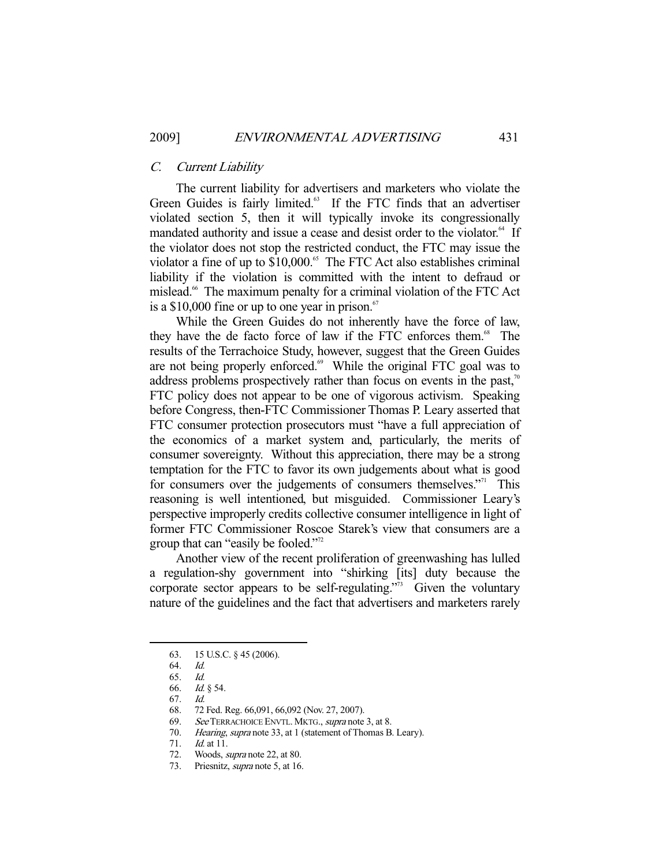#### C. Current Liability

 The current liability for advertisers and marketers who violate the Green Guides is fairly limited.<sup>63</sup> If the FTC finds that an advertiser violated section 5, then it will typically invoke its congressionally mandated authority and issue a cease and desist order to the violator.<sup>64</sup> If the violator does not stop the restricted conduct, the FTC may issue the violator a fine of up to \$10,000.<sup>65</sup> The FTC Act also establishes criminal liability if the violation is committed with the intent to defraud or mislead.<sup>66</sup> The maximum penalty for a criminal violation of the FTC Act is a \$10,000 fine or up to one year in prison. $67$ 

 While the Green Guides do not inherently have the force of law, they have the de facto force of law if the FTC enforces them.<sup>68</sup> The results of the Terrachoice Study, however, suggest that the Green Guides are not being properly enforced.<sup>69</sup> While the original FTC goal was to address problems prospectively rather than focus on events in the past, $\alpha$ <sup>0</sup> FTC policy does not appear to be one of vigorous activism. Speaking before Congress, then-FTC Commissioner Thomas P. Leary asserted that FTC consumer protection prosecutors must "have a full appreciation of the economics of a market system and, particularly, the merits of consumer sovereignty. Without this appreciation, there may be a strong temptation for the FTC to favor its own judgements about what is good for consumers over the judgements of consumers themselves."<sup>71</sup> This reasoning is well intentioned, but misguided. Commissioner Leary's perspective improperly credits collective consumer intelligence in light of former FTC Commissioner Roscoe Starek's view that consumers are a group that can "easily be fooled."<sup>72</sup>

 Another view of the recent proliferation of greenwashing has lulled a regulation-shy government into "shirking [its] duty because the corporate sector appears to be self-regulating."<sup>33</sup> Given the voluntary nature of the guidelines and the fact that advertisers and marketers rarely

 <sup>63. 15</sup> U.S.C. § 45 (2006).

 <sup>64.</sup> Id.

 <sup>65.</sup> Id.

 <sup>66.</sup> Id. § 54.

 <sup>67.</sup> Id.

 <sup>68. 72</sup> Fed. Reg. 66,091, 66,092 (Nov. 27, 2007).

<sup>69.</sup> See TERRACHOICE ENVTL. MKTG., supra note 3, at 8.

 <sup>70.</sup> Hearing, supra note 33, at 1 (statement of Thomas B. Leary).

 <sup>71.</sup> Id. at 11.

 <sup>72.</sup> Woods, supra note 22, at 80.

<sup>73.</sup> Priesnitz, *supra* note 5, at 16.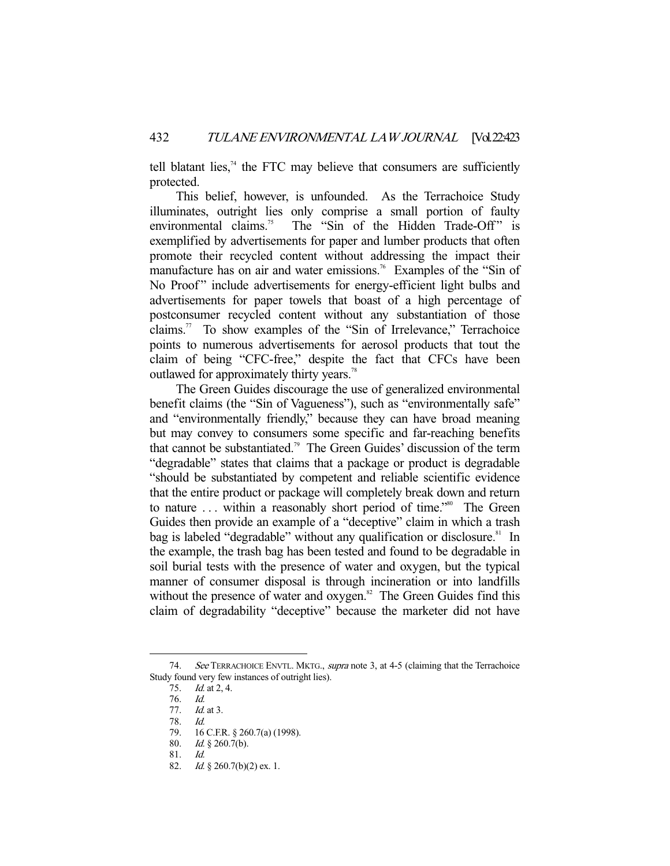tell blatant lies, $74$  the FTC may believe that consumers are sufficiently protected.

 This belief, however, is unfounded. As the Terrachoice Study illuminates, outright lies only comprise a small portion of faulty environmental claims.<sup>75</sup> The "Sin of the Hidden Trade-Off" is exemplified by advertisements for paper and lumber products that often promote their recycled content without addressing the impact their manufacture has on air and water emissions.<sup>76</sup> Examples of the "Sin of No Proof" include advertisements for energy-efficient light bulbs and advertisements for paper towels that boast of a high percentage of postconsumer recycled content without any substantiation of those claims.<sup>77</sup> To show examples of the "Sin of Irrelevance," Terrachoice points to numerous advertisements for aerosol products that tout the claim of being "CFC-free," despite the fact that CFCs have been outlawed for approximately thirty years.<sup>78</sup>

 The Green Guides discourage the use of generalized environmental benefit claims (the "Sin of Vagueness"), such as "environmentally safe" and "environmentally friendly," because they can have broad meaning but may convey to consumers some specific and far-reaching benefits that cannot be substantiated.79 The Green Guides' discussion of the term "degradable" states that claims that a package or product is degradable "should be substantiated by competent and reliable scientific evidence that the entire product or package will completely break down and return to nature ... within a reasonably short period of time."<sup>80</sup> The Green Guides then provide an example of a "deceptive" claim in which a trash bag is labeled "degradable" without any qualification or disclosure.<sup>81</sup> In the example, the trash bag has been tested and found to be degradable in soil burial tests with the presence of water and oxygen, but the typical manner of consumer disposal is through incineration or into landfills without the presence of water and  $oxygen$ <sup>32</sup>. The Green Guides find this claim of degradability "deceptive" because the marketer did not have

<sup>74.</sup> See TERRACHOICE ENVTL. MKTG., supra note 3, at 4-5 (claiming that the Terrachoice Study found very few instances of outright lies).

 <sup>75.</sup> Id. at 2, 4.

 <sup>76.</sup> Id.

*Id.* at 3.

 <sup>78.</sup> Id.

 <sup>79. 16</sup> C.F.R. § 260.7(a) (1998).

 <sup>80.</sup> Id. § 260.7(b).

 <sup>81.</sup> Id.

<sup>82.</sup> *Id.* § 260.7(b)(2) ex. 1.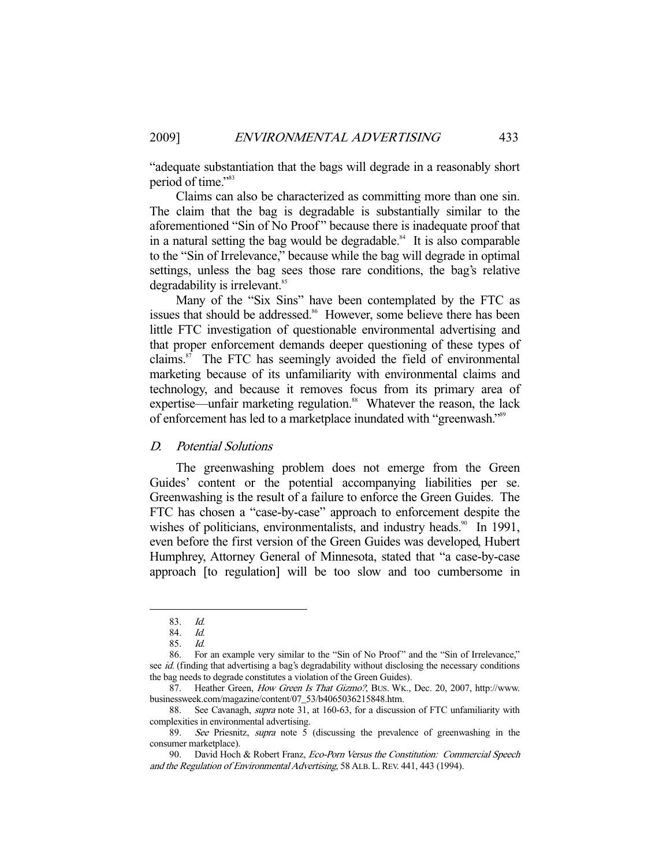"adequate substantiation that the bags will degrade in a reasonably short period of time."<sup>83</sup>

 Claims can also be characterized as committing more than one sin. The claim that the bag is degradable is substantially similar to the aforementioned "Sin of No Proof " because there is inadequate proof that in a natural setting the bag would be degradable.<sup>84</sup> It is also comparable to the "Sin of Irrelevance," because while the bag will degrade in optimal settings, unless the bag sees those rare conditions, the bag's relative degradability is irrelevant.<sup>85</sup>

 Many of the "Six Sins" have been contemplated by the FTC as issues that should be addressed.<sup>86</sup> However, some believe there has been little FTC investigation of questionable environmental advertising and that proper enforcement demands deeper questioning of these types of claims. $87$  The FTC has seemingly avoided the field of environmental marketing because of its unfamiliarity with environmental claims and technology, and because it removes focus from its primary area of expertise—unfair marketing regulation.<sup>88</sup> Whatever the reason, the lack of enforcement has led to a marketplace inundated with "greenwash."89

# D. Potential Solutions

 The greenwashing problem does not emerge from the Green Guides' content or the potential accompanying liabilities per se. Greenwashing is the result of a failure to enforce the Green Guides. The FTC has chosen a "case-by-case" approach to enforcement despite the wishes of politicians, environmentalists, and industry heads.<sup>90</sup> In 1991, even before the first version of the Green Guides was developed, Hubert Humphrey, Attorney General of Minnesota, stated that "a case-by-case approach [to regulation] will be too slow and too cumbersome in

 <sup>83.</sup> Id.

 <sup>84.</sup> Id.

 <sup>85.</sup> Id.

<sup>86.</sup> For an example very similar to the "Sin of No Proof" and the "Sin of Irrelevance," see id. (finding that advertising a bag's degradability without disclosing the necessary conditions the bag needs to degrade constitutes a violation of the Green Guides).

<sup>87.</sup> Heather Green, How Green Is That Gizmo?, BUS. WK., Dec. 20, 2007, http://www. businessweek.com/magazine/content/07\_53/b4065036215848.htm.

 <sup>88.</sup> See Cavanagh, supra note 31, at 160-63, for a discussion of FTC unfamiliarity with complexities in environmental advertising.

 <sup>89.</sup> See Priesnitz, supra note 5 (discussing the prevalence of greenwashing in the consumer marketplace).

<sup>90.</sup> David Hoch & Robert Franz, Eco-Porn Versus the Constitution: Commercial Speech and the Regulation of Environmental Advertising, 58 ALB.L.REV. 441, 443 (1994).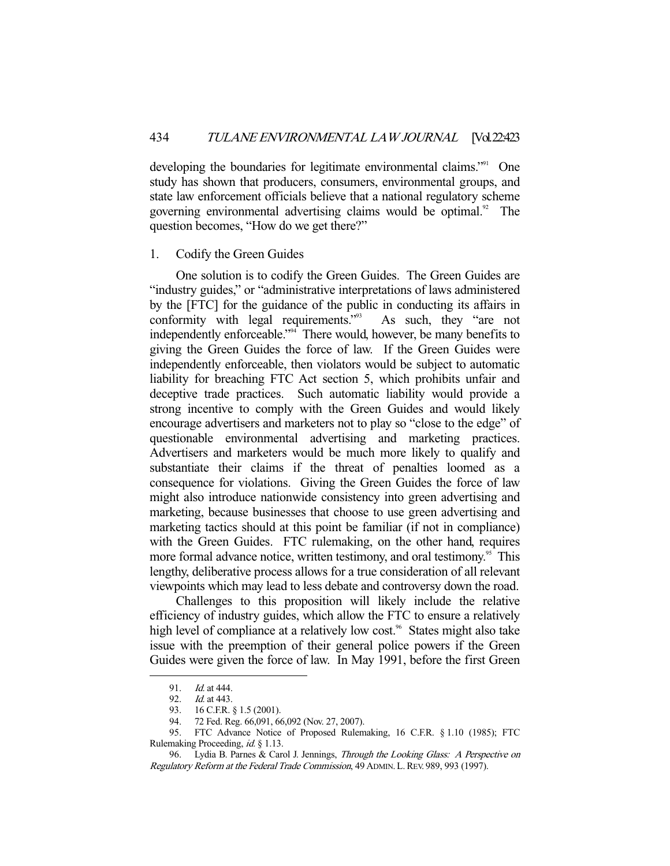developing the boundaries for legitimate environmental claims."<sup>91</sup> One study has shown that producers, consumers, environmental groups, and state law enforcement officials believe that a national regulatory scheme governing environmental advertising claims would be optimal.<sup>92</sup> The question becomes, "How do we get there?"

#### 1. Codify the Green Guides

 One solution is to codify the Green Guides. The Green Guides are "industry guides," or "administrative interpretations of laws administered by the [FTC] for the guidance of the public in conducting its affairs in conformity with legal requirements."<sup>93</sup> As such, they "are not independently enforceable."94 There would, however, be many benefits to giving the Green Guides the force of law. If the Green Guides were independently enforceable, then violators would be subject to automatic liability for breaching FTC Act section 5, which prohibits unfair and deceptive trade practices. Such automatic liability would provide a strong incentive to comply with the Green Guides and would likely encourage advertisers and marketers not to play so "close to the edge" of questionable environmental advertising and marketing practices. Advertisers and marketers would be much more likely to qualify and substantiate their claims if the threat of penalties loomed as a consequence for violations. Giving the Green Guides the force of law might also introduce nationwide consistency into green advertising and marketing, because businesses that choose to use green advertising and marketing tactics should at this point be familiar (if not in compliance) with the Green Guides. FTC rulemaking, on the other hand, requires more formal advance notice, written testimony, and oral testimony.<sup>95</sup> This lengthy, deliberative process allows for a true consideration of all relevant viewpoints which may lead to less debate and controversy down the road.

 Challenges to this proposition will likely include the relative efficiency of industry guides, which allow the FTC to ensure a relatively high level of compliance at a relatively low cost.<sup>96</sup> States might also take issue with the preemption of their general police powers if the Green Guides were given the force of law. In May 1991, before the first Green

<sup>91.</sup> *Id.* at 444.<br>92. *Id.* at 443. *Id.* at 443.

 <sup>93. 16</sup> C.F.R. § 1.5 (2001).

 <sup>94. 72</sup> Fed. Reg. 66,091, 66,092 (Nov. 27, 2007).

<sup>94.</sup> *FLYCO, Neg. 60,021, 00,022* (100.21, 2007).<br>95. FTC Advance Notice of Proposed Rulemaking, 16 C.F.R. § 1.10 (1985); FTC Rulemaking Proceeding, id. § 1.13.

<sup>96.</sup> Lydia B. Parnes & Carol J. Jennings, Through the Looking Glass: A Perspective on Regulatory Reform at the Federal Trade Commission, 49 ADMIN.L.REV. 989, 993 (1997).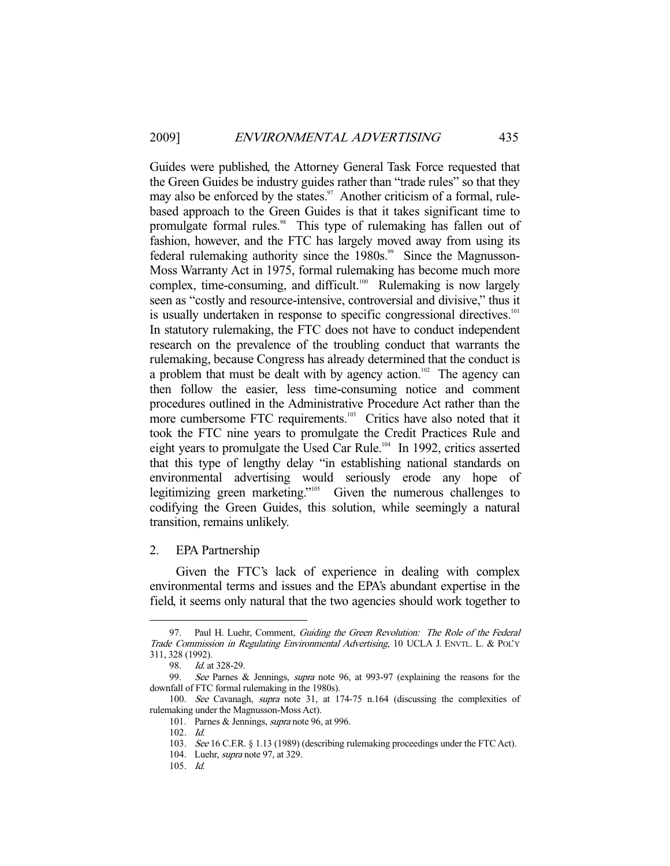Guides were published, the Attorney General Task Force requested that the Green Guides be industry guides rather than "trade rules" so that they may also be enforced by the states. $\frac{97}{7}$  Another criticism of a formal, rulebased approach to the Green Guides is that it takes significant time to promulgate formal rules.<sup>98</sup> This type of rulemaking has fallen out of fashion, however, and the FTC has largely moved away from using its federal rulemaking authority since the 1980s.<sup>99</sup> Since the Magnusson-Moss Warranty Act in 1975, formal rulemaking has become much more complex, time-consuming, and difficult.<sup>100</sup> Rulemaking is now largely seen as "costly and resource-intensive, controversial and divisive," thus it is usually undertaken in response to specific congressional directives.<sup>101</sup> In statutory rulemaking, the FTC does not have to conduct independent research on the prevalence of the troubling conduct that warrants the rulemaking, because Congress has already determined that the conduct is a problem that must be dealt with by agency action.<sup>102</sup> The agency can then follow the easier, less time-consuming notice and comment procedures outlined in the Administrative Procedure Act rather than the more cumbersome FTC requirements.<sup>103</sup> Critics have also noted that it took the FTC nine years to promulgate the Credit Practices Rule and eight years to promulgate the Used Car Rule.<sup>104</sup> In 1992, critics asserted that this type of lengthy delay "in establishing national standards on environmental advertising would seriously erode any hope of legitimizing green marketing."105 Given the numerous challenges to codifying the Green Guides, this solution, while seemingly a natural transition, remains unlikely.

2. EPA Partnership

 Given the FTC's lack of experience in dealing with complex environmental terms and issues and the EPA's abundant expertise in the field, it seems only natural that the two agencies should work together to

-

105. Id.

<sup>97.</sup> Paul H. Luehr, Comment, *Guiding the Green Revolution: The Role of the Federal* Trade Commission in Regulating Environmental Advertising, 10 UCLA J. ENVTL. L. & POL'Y 311, 328 (1992).

<sup>98.</sup> *Id.* at 328-29.

 <sup>99.</sup> See Parnes & Jennings, supra note 96, at 993-97 (explaining the reasons for the downfall of FTC formal rulemaking in the 1980s).

 <sup>100.</sup> See Cavanagh, supra note 31, at 174-75 n.164 (discussing the complexities of rulemaking under the Magnusson-Moss Act).

 <sup>101.</sup> Parnes & Jennings, supra note 96, at 996.

 <sup>102.</sup> Id.

<sup>103.</sup> See 16 C.F.R. § 1.13 (1989) (describing rulemaking proceedings under the FTC Act).

<sup>104.</sup> Luehr, *supra* note 97, at 329.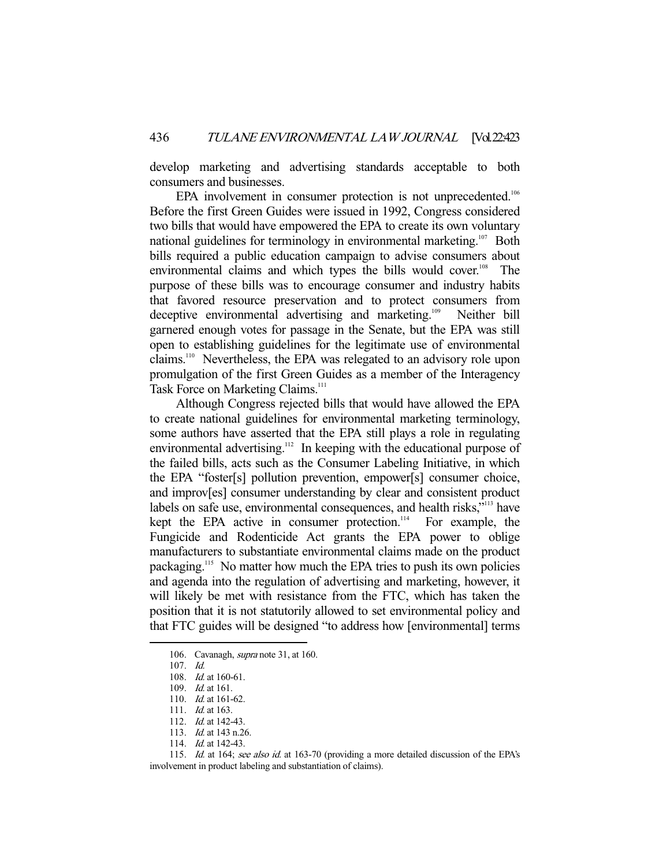develop marketing and advertising standards acceptable to both consumers and businesses.

EPA involvement in consumer protection is not unprecedented.<sup>106</sup> Before the first Green Guides were issued in 1992, Congress considered two bills that would have empowered the EPA to create its own voluntary national guidelines for terminology in environmental marketing.<sup>107</sup> Both bills required a public education campaign to advise consumers about environmental claims and which types the bills would cover.<sup>108</sup> The purpose of these bills was to encourage consumer and industry habits that favored resource preservation and to protect consumers from deceptive environmental advertising and marketing.109 Neither bill garnered enough votes for passage in the Senate, but the EPA was still open to establishing guidelines for the legitimate use of environmental claims.110 Nevertheless, the EPA was relegated to an advisory role upon promulgation of the first Green Guides as a member of the Interagency Task Force on Marketing Claims.<sup>111</sup>

 Although Congress rejected bills that would have allowed the EPA to create national guidelines for environmental marketing terminology, some authors have asserted that the EPA still plays a role in regulating environmental advertising.<sup>112</sup> In keeping with the educational purpose of the failed bills, acts such as the Consumer Labeling Initiative, in which the EPA "foster[s] pollution prevention, empower[s] consumer choice, and improv[es] consumer understanding by clear and consistent product labels on safe use, environmental consequences, and health risks,"<sup>113</sup> have kept the EPA active in consumer protection. $114$  For example, the Fungicide and Rodenticide Act grants the EPA power to oblige manufacturers to substantiate environmental claims made on the product packaging.115 No matter how much the EPA tries to push its own policies and agenda into the regulation of advertising and marketing, however, it will likely be met with resistance from the FTC, which has taken the position that it is not statutorily allowed to set environmental policy and that FTC guides will be designed "to address how [environmental] terms

<sup>106.</sup> Cavanagh, *supra* note 31, at 160.

 <sup>107.</sup> Id.

 <sup>108.</sup> Id. at 160-61.

 <sup>109.</sup> Id. at 161.

 <sup>110.</sup> Id. at 161-62.

<sup>111.</sup> *Id.* at 163.

 <sup>112.</sup> Id. at 142-43.

 <sup>113.</sup> Id. at 143 n.26.

<sup>114.</sup> *Id.* at 142-43.

<sup>115.</sup> Id. at 164; see also id. at 163-70 (providing a more detailed discussion of the EPA's involvement in product labeling and substantiation of claims).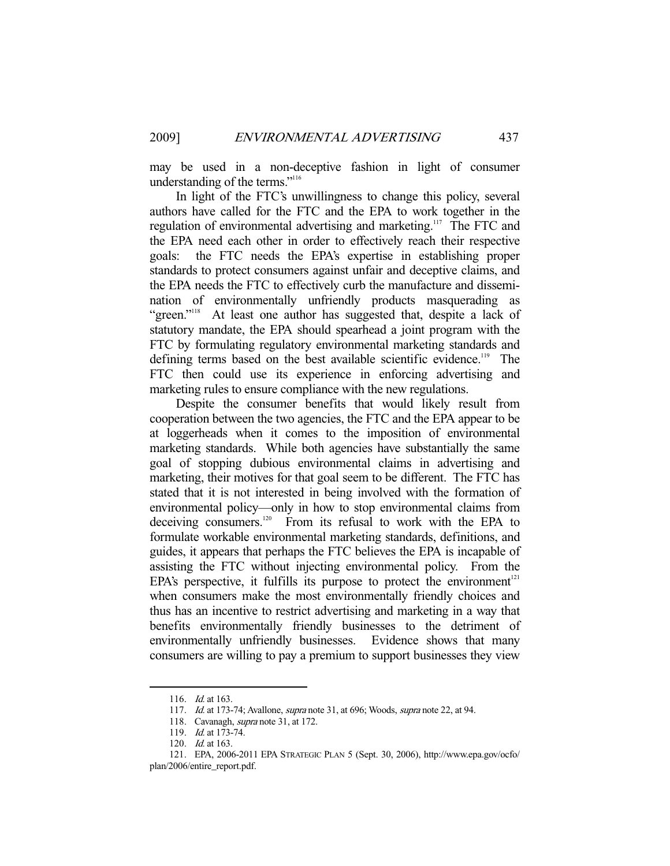may be used in a non-deceptive fashion in light of consumer understanding of the terms."116

 In light of the FTC's unwillingness to change this policy, several authors have called for the FTC and the EPA to work together in the regulation of environmental advertising and marketing.<sup>117</sup> The FTC and the EPA need each other in order to effectively reach their respective goals: the FTC needs the EPA's expertise in establishing proper standards to protect consumers against unfair and deceptive claims, and the EPA needs the FTC to effectively curb the manufacture and dissemination of environmentally unfriendly products masquerading as "green."<sup>118</sup> At least one author has suggested that, despite a lack of statutory mandate, the EPA should spearhead a joint program with the FTC by formulating regulatory environmental marketing standards and defining terms based on the best available scientific evidence.<sup>119</sup> The FTC then could use its experience in enforcing advertising and marketing rules to ensure compliance with the new regulations.

 Despite the consumer benefits that would likely result from cooperation between the two agencies, the FTC and the EPA appear to be at loggerheads when it comes to the imposition of environmental marketing standards. While both agencies have substantially the same goal of stopping dubious environmental claims in advertising and marketing, their motives for that goal seem to be different. The FTC has stated that it is not interested in being involved with the formation of environmental policy—only in how to stop environmental claims from deceiving consumers.<sup>120</sup> From its refusal to work with the EPA to formulate workable environmental marketing standards, definitions, and guides, it appears that perhaps the FTC believes the EPA is incapable of assisting the FTC without injecting environmental policy. From the EPA's perspective, it fulfills its purpose to protect the environment<sup>121</sup> when consumers make the most environmentally friendly choices and thus has an incentive to restrict advertising and marketing in a way that benefits environmentally friendly businesses to the detriment of environmentally unfriendly businesses. Evidence shows that many consumers are willing to pay a premium to support businesses they view

<sup>116.</sup> *Id.* at 163.

<sup>117.</sup> Id. at 173-74; Avallone, *supra* note 31, at 696; Woods, *supra* note 22, at 94.

<sup>118.</sup> Cavanagh, *supra* note 31, at 172.

 <sup>119.</sup> Id. at 173-74.

<sup>120.</sup> *Id.* at 163.

 <sup>121.</sup> EPA, 2006-2011 EPA STRATEGIC PLAN 5 (Sept. 30, 2006), http://www.epa.gov/ocfo/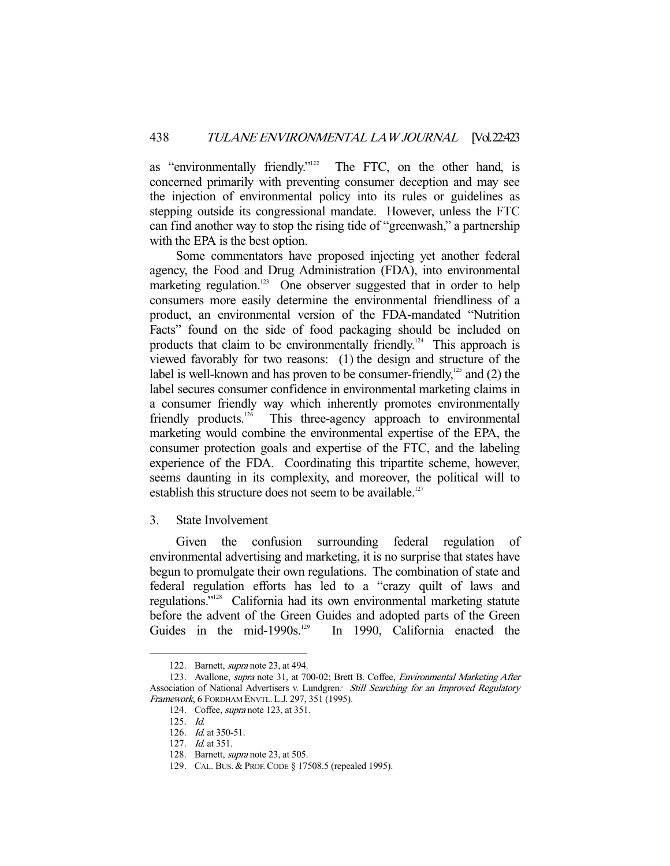as "environmentally friendly."<sup>122</sup> The FTC, on the other hand, is concerned primarily with preventing consumer deception and may see the injection of environmental policy into its rules or guidelines as stepping outside its congressional mandate. However, unless the FTC can find another way to stop the rising tide of "greenwash," a partnership with the EPA is the best option.

 Some commentators have proposed injecting yet another federal agency, the Food and Drug Administration (FDA), into environmental marketing regulation.<sup>123</sup> One observer suggested that in order to help consumers more easily determine the environmental friendliness of a product, an environmental version of the FDA-mandated "Nutrition Facts" found on the side of food packaging should be included on products that claim to be environmentally friendly.<sup>124</sup> This approach is viewed favorably for two reasons: (1) the design and structure of the label is well-known and has proven to be consumer-friendly, $^{125}$  and (2) the label secures consumer confidence in environmental marketing claims in a consumer friendly way which inherently promotes environmentally friendly products.<sup>126</sup> This three-agency approach to environmental marketing would combine the environmental expertise of the EPA, the consumer protection goals and expertise of the FTC, and the labeling experience of the FDA. Coordinating this tripartite scheme, however, seems daunting in its complexity, and moreover, the political will to establish this structure does not seem to be available.<sup>127</sup>

3. State Involvement

 Given the confusion surrounding federal regulation of environmental advertising and marketing, it is no surprise that states have begun to promulgate their own regulations. The combination of state and federal regulation efforts has led to a "crazy quilt of laws and regulations."128 California had its own environmental marketing statute before the advent of the Green Guides and adopted parts of the Green Guides in the mid-1990s.<sup>129</sup> In 1990, California enacted the

 <sup>122.</sup> Barnett, supra note 23, at 494.

<sup>123.</sup> Avallone, supra note 31, at 700-02; Brett B. Coffee, Environmental Marketing After Association of National Advertisers v. Lundgren: Still Searching for an Improved Regulatory Framework, 6 FORDHAM ENVTL.L.J. 297, 351 (1995).

 <sup>124.</sup> Coffee, supra note 123, at 351.

 <sup>125.</sup> Id.

<sup>126.</sup> *Id.* at 350-51.

 <sup>127.</sup> Id. at 351.

 <sup>128.</sup> Barnett, supra note 23, at 505.

 <sup>129.</sup> CAL. BUS. & PROF.CODE § 17508.5 (repealed 1995).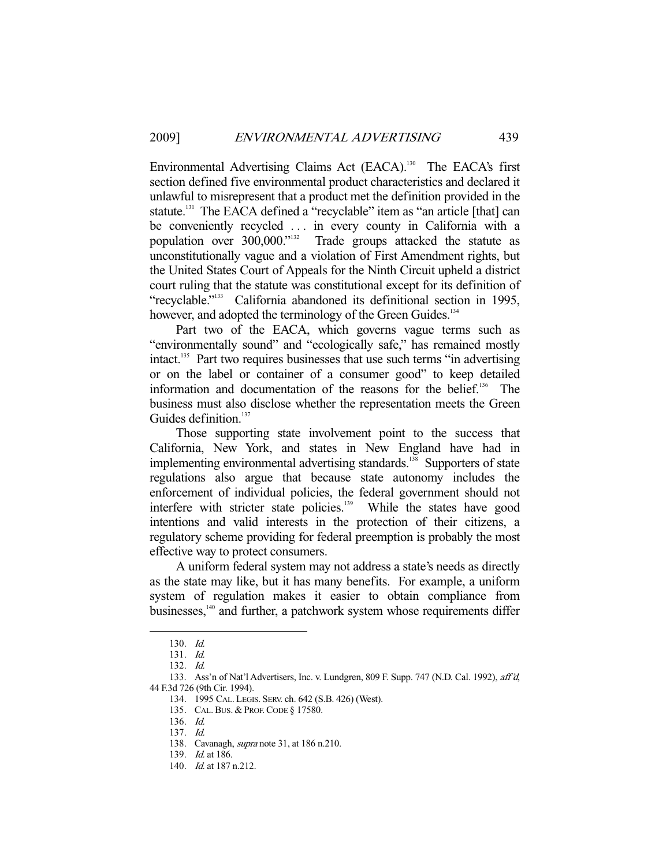Environmental Advertising Claims Act (EACA).<sup>130</sup> The EACA's first section defined five environmental product characteristics and declared it unlawful to misrepresent that a product met the definition provided in the statute.<sup>131</sup> The EACA defined a "recyclable" item as "an article [that] can be conveniently recycled ... in every county in California with a population over 300,000."132 Trade groups attacked the statute as unconstitutionally vague and a violation of First Amendment rights, but the United States Court of Appeals for the Ninth Circuit upheld a district court ruling that the statute was constitutional except for its definition of "recyclable."133 California abandoned its definitional section in 1995, however, and adopted the terminology of the Green Guides.<sup>134</sup>

 Part two of the EACA, which governs vague terms such as "environmentally sound" and "ecologically safe," has remained mostly intact.135 Part two requires businesses that use such terms "in advertising or on the label or container of a consumer good" to keep detailed information and documentation of the reasons for the belief.<sup>136</sup> The business must also disclose whether the representation meets the Green Guides definition.<sup>137</sup>

 Those supporting state involvement point to the success that California, New York, and states in New England have had in implementing environmental advertising standards.<sup>138</sup> Supporters of state regulations also argue that because state autonomy includes the enforcement of individual policies, the federal government should not interfere with stricter state policies.<sup>139</sup> While the states have good intentions and valid interests in the protection of their citizens, a regulatory scheme providing for federal preemption is probably the most effective way to protect consumers.

 A uniform federal system may not address a state's needs as directly as the state may like, but it has many benefits. For example, a uniform system of regulation makes it easier to obtain compliance from businesses,140 and further, a patchwork system whose requirements differ

 <sup>130.</sup> Id.

 <sup>131.</sup> Id.

 <sup>132.</sup> Id.

 <sup>133.</sup> Ass'n of Nat'l Advertisers, Inc. v. Lundgren, 809 F. Supp. 747 (N.D. Cal. 1992), aff'd, 44 F.3d 726 (9th Cir. 1994).

 <sup>134. 1995</sup> CAL. LEGIS. SERV. ch. 642 (S.B. 426) (West).

 <sup>135.</sup> CAL.BUS. & PROF.CODE § 17580.

 <sup>136.</sup> Id.

 <sup>137.</sup> Id.

<sup>138.</sup> Cavanagh, *supra* note 31, at 186 n.210.

 <sup>139.</sup> Id. at 186.

<sup>140.</sup> *Id.* at 187 n.212.